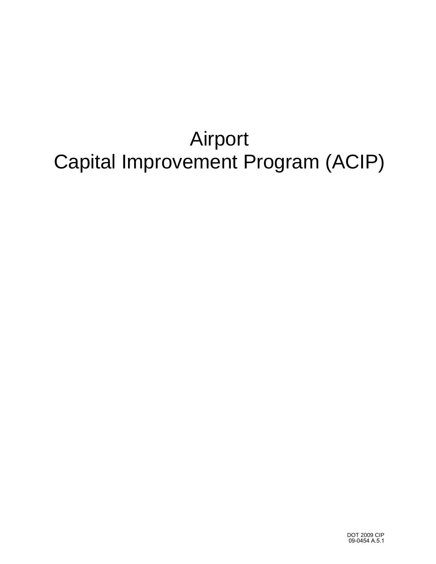## Airport Capital Improvement Program (ACIP)